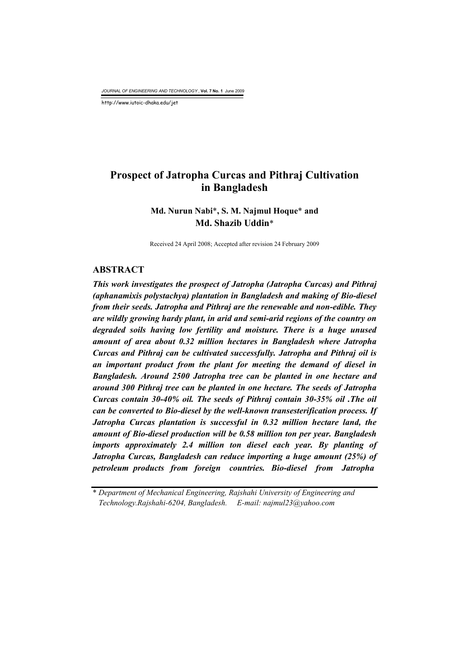*JOURNAL OF ENGINEERING AND TECHNOLOGY* , **Vol. 7 No. 1** June 2009

http://www.iutoic-dhaka.edu/jet

# **Prospect of Jatropha Curcas and Pithraj Cultivation in Bangladesh**

## **Md. Nurun Nabi**\***, S. M. Najmul Hoque**\* **and Md. Shazib Uddin**\*

Received 24 April 2008; Accepted after revision 24 February 2009

#### **ABSTRACT**

*This work investigates the prospect of Jatropha (Jatropha Curcas) and Pithraj (aphanamixis polystachya) plantation in Bangladesh and making of Bio-diesel from their seeds. Jatropha and Pithraj are the renewable and non-edible. They are wildly growing hardy plant, in arid and semi-arid regions of the country on degraded soils having low fertility and moisture. There is a huge unused amount of area about 0.32 million hectares in Bangladesh where Jatropha Curcas and Pithraj can be cultivated successfully. Jatropha and Pithraj oil is an important product from the plant for meeting the demand of diesel in Bangladesh. Around 2500 Jatropha tree can be planted in one hectare and around 300 Pithraj tree can be planted in one hectare. The seeds of Jatropha Curcas contain 30-40% oil. The seeds of Pithraj contain 30-35% oil .The oil can be converted to Bio-diesel by the well-known transesterification process. If*  Jatropha Curcas plantation is successful in 0.32 million hectare land, the *amount of Bio-diesel production will be 0.58 million ton per year. Bangladesh imports approximately 2.4 million ton diesel each year. By planting of Jatropha Curcas, Bangladesh can reduce importing a huge amount (25%) of petroleum products from foreign countries. Bio-diesel from Jatropha* 

\* *Department of Mechanical Engineering, Rajshahi University of Engineering and Technology.Rajshahi-6204, Bangladesh. E-mail: najmul23@yahoo.com*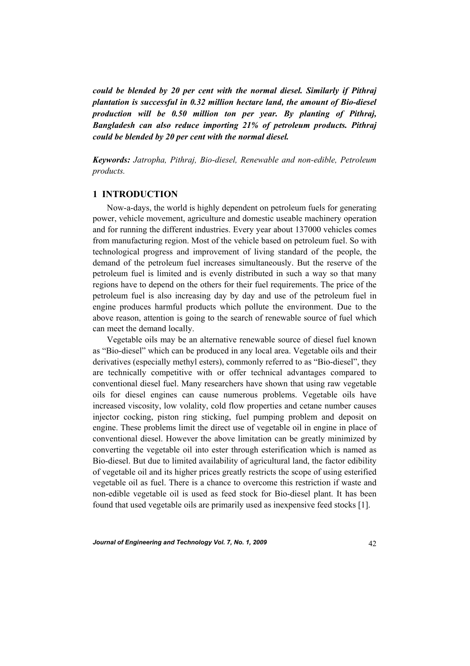*could be blended by 20 per cent with the normal diesel. Similarly if Pithraj plantation is successful in 0.32 million hectare land, the amount of Bio-diesel production will be 0.50 million ton per year. By planting of Pithraj, Bangladesh can also reduce importing 21% of petroleum products. Pithraj could be blended by 20 per cent with the normal diesel.* 

*Keywords: Jatropha, Pithraj, Bio-diesel, Renewable and non-edible, Petroleum products.* 

### **1 INTRODUCTION**

 Now-a-days, the world is highly dependent on petroleum fuels for generating power, vehicle movement, agriculture and domestic useable machinery operation and for running the different industries. Every year about 137000 vehicles comes from manufacturing region. Most of the vehicle based on petroleum fuel. So with technological progress and improvement of living standard of the people, the demand of the petroleum fuel increases simultaneously. But the reserve of the petroleum fuel is limited and is evenly distributed in such a way so that many regions have to depend on the others for their fuel requirements. The price of the petroleum fuel is also increasing day by day and use of the petroleum fuel in engine produces harmful products which pollute the environment. Due to the above reason, attention is going to the search of renewable source of fuel which can meet the demand locally.

 Vegetable oils may be an alternative renewable source of diesel fuel known as "Bio-diesel" which can be produced in any local area. Vegetable oils and their derivatives (especially methyl esters), commonly referred to as "Bio-diesel", they are technically competitive with or offer technical advantages compared to conventional diesel fuel. Many researchers have shown that using raw vegetable oils for diesel engines can cause numerous problems. Vegetable oils have increased viscosity, low volality, cold flow properties and cetane number causes injector cocking, piston ring sticking, fuel pumping problem and deposit on engine. These problems limit the direct use of vegetable oil in engine in place of conventional diesel. However the above limitation can be greatly minimized by converting the vegetable oil into ester through esterification which is named as Bio-diesel. But due to limited availability of agricultural land, the factor edibility of vegetable oil and its higher prices greatly restricts the scope of using esterified vegetable oil as fuel. There is a chance to overcome this restriction if waste and non-edible vegetable oil is used as feed stock for Bio-diesel plant. It has been found that used vegetable oils are primarily used as inexpensive feed stocks [1].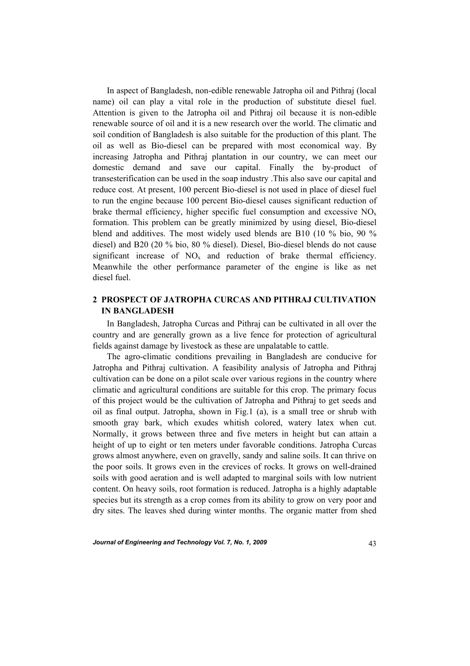In aspect of Bangladesh, non-edible renewable Jatropha oil and Pithraj (local name) oil can play a vital role in the production of substitute diesel fuel. Attention is given to the Jatropha oil and Pithraj oil because it is non-edible renewable source of oil and it is a new research over the world. The climatic and soil condition of Bangladesh is also suitable for the production of this plant. The oil as well as Bio-diesel can be prepared with most economical way. By increasing Jatropha and Pithraj plantation in our country, we can meet our domestic demand and save our capital. Finally the by-product of transesterification can be used in the soap industry .This also save our capital and reduce cost. At present, 100 percent Bio-diesel is not used in place of diesel fuel to run the engine because 100 percent Bio-diesel causes significant reduction of brake thermal efficiency, higher specific fuel consumption and excessive  $NO<sub>x</sub>$ formation. This problem can be greatly minimized by using diesel, Bio-diesel blend and additives. The most widely used blends are B10 (10 % bio, 90 % diesel) and B20 (20 % bio, 80 % diesel). Diesel, Bio-diesel blends do not cause significant increase of  $NO<sub>x</sub>$  and reduction of brake thermal efficiency. Meanwhile the other performance parameter of the engine is like as net diesel fuel.

## **2 PROSPECT OF JATROPHA CURCAS AND PITHRAJ CULTIVATION IN BANGLADESH**

 In Bangladesh, Jatropha Curcas and Pithraj can be cultivated in all over the country and are generally grown as a live fence for protection of agricultural fields against damage by livestock as these are unpalatable to cattle.

 The agro-climatic conditions prevailing in Bangladesh are conducive for Jatropha and Pithraj cultivation. A feasibility analysis of Jatropha and Pithraj cultivation can be done on a pilot scale over various regions in the country where climatic and agricultural conditions are suitable for this crop. The primary focus of this project would be the cultivation of Jatropha and Pithraj to get seeds and oil as final output. Jatropha, shown in Fig.1 (a), is a small tree or shrub with smooth gray bark, which exudes whitish colored, watery latex when cut. Normally, it grows between three and five meters in height but can attain a height of up to eight or ten meters under favorable conditions. Jatropha Curcas grows almost anywhere, even on gravelly, sandy and saline soils. It can thrive on the poor soils. It grows even in the crevices of rocks. It grows on well-drained soils with good aeration and is well adapted to marginal soils with low nutrient content. On heavy soils, root formation is reduced. Jatropha is a highly adaptable species but its strength as a crop comes from its ability to grow on very poor and dry sites. The leaves shed during winter months. The organic matter from shed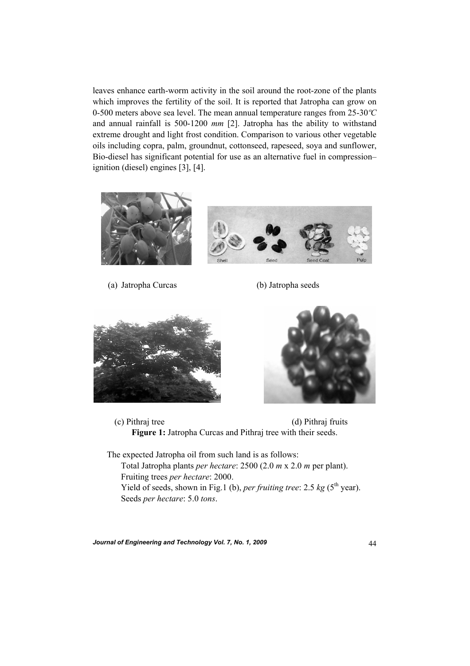leaves enhance earth-worm activity in the soil around the root-zone of the plants which improves the fertility of the soil. It is reported that Jatropha can grow on 0-500 meters above sea level. The mean annual temperature ranges from 25-30*ºC* and annual rainfall is 500-1200 *mm* [2]. Jatropha has the ability to withstand extreme drought and light frost condition. Comparison to various other vegetable oils including copra, palm, groundnut, cottonseed, rapeseed, soya and sunflower, Bio-diesel has significant potential for use as an alternative fuel in compression– ignition (diesel) engines [3], [4].



(a) Jatropha Curcas (b) Jatropha seeds





 (c) Pithraj tree (d) Pithraj fruits **Figure 1:** Jatropha Curcas and Pithraj tree with their seeds.

 The expected Jatropha oil from such land is as follows: Total Jatropha plants *per hectare*: 2500 (2.0 *m* x 2.0 *m* per plant). Fruiting trees *per hectare*: 2000. Yield of seeds, shown in Fig.1 (b), *per fruiting tree*: 2.5 *kg* (5<sup>th</sup> year). Seeds *per hectare*: 5.0 *tons*.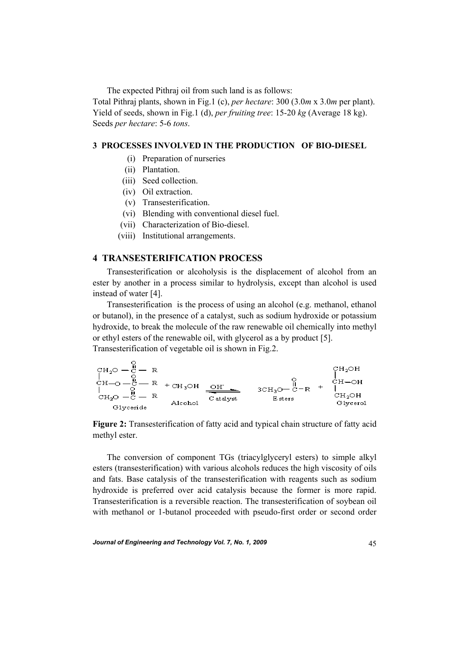The expected Pithraj oil from such land is as follows:

Total Pithraj plants, shown in Fig.1 (c), *per hectare*: 300 (3.0*m* x 3.0*m* per plant). Yield of seeds, shown in Fig.1 (d), *per fruiting tree*: 15-20 *kg* (Average 18 kg). Seeds *per hectare*: 5-6 *tons*.

### **3 PROCESSES INVOLVED IN THE PRODUCTION OF BIO-DIESEL**

- (i) Preparation of nurseries
- (ii) Plantation.
- (iii) Seed collection.
- (iv) Oil extraction.
- (v) Transesterification.
- (vi) Blending with conventional diesel fuel.
- (vii) Characterization of Bio-diesel.
- (viii) Institutional arrangements.

### **4 TRANSESTERIFICATION PROCESS**

 Transesterification or alcoholysis is the displacement of alcohol from an ester by another in a process similar to hydrolysis, except than alcohol is used instead of water [4].

 Transesterification is the process of using an alcohol (e.g. methanol, ethanol or butanol), in the presence of a catalyst, such as sodium hydroxide or potassium hydroxide, to break the molecule of the raw renewable oil chemically into methyl or ethyl esters of the renewable oil, with glycerol as a by product [5]. Transesterification of vegetable oil is shown in Fig.2.

 $\begin{array}{ccccccc} & {\rm CH}_2{\rm O} & {\rm C} & {\rm R} & & & & {\rm CH}_2{\rm OH} \\ | & {\rm C} & {\rm R} & | & {\rm C} & {\rm R} \\ | & {\rm C} & {\rm R} & | & {\rm C} & {\rm R} \\ | & {\rm C} & {\rm R} & | & {\rm C} & {\rm R} \\ | & {\rm C} & {\rm R} & | & {\rm C} & {\rm R} \\ \end{array} \quad \begin{array}{ccccccc} & {\rm C} & {\rm C} & {\rm R} & {\rm C} & {\rm R} \\ | & {\rm C} & {\rm R} & {\rm R} & {\rm C} & {\rm R} \\ | & {\rm C} & {\rm R} & {\rm$ 

**Figure 2:** Transesterification of fatty acid and typical chain structure of fatty acid methyl ester.

 The conversion of component TGs (triacylglyceryl esters) to simple alkyl esters (transesterification) with various alcohols reduces the high viscosity of oils and fats. Base catalysis of the transesterification with reagents such as sodium hydroxide is preferred over acid catalysis because the former is more rapid. Transesterification is a reversible reaction. The transesterification of soybean oil with methanol or 1-butanol proceeded with pseudo-first order or second order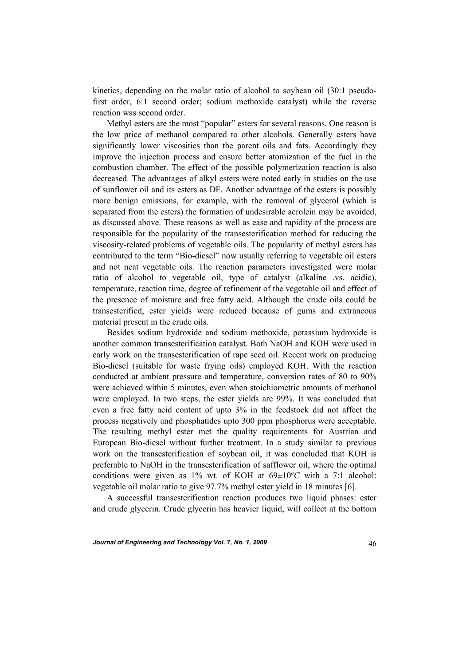kinetics, depending on the molar ratio of alcohol to soybean oil (30:1 pseudofirst order, 6:1 second order; sodium methoxide catalyst) while the reverse reaction was second order.

 Methyl esters are the most "popular" esters for several reasons. One reason is the low price of methanol compared to other alcohols. Generally esters have significantly lower viscosities than the parent oils and fats. Accordingly they improve the injection process and ensure better atomization of the fuel in the combustion chamber. The effect of the possible polymerization reaction is also decreased. The advantages of alkyl esters were noted early in studies on the use of sunflower oil and its esters as DF. Another advantage of the esters is possibly more benign emissions, for example, with the removal of glycerol (which is separated from the esters) the formation of undesirable acrolein may be avoided, as discussed above. These reasons as well as ease and rapidity of the process are responsible for the popularity of the transesterification method for reducing the viscosity-related problems of vegetable oils. The popularity of methyl esters has contributed to the term "Bio-diesel" now usually referring to vegetable oil esters and not neat vegetable oils. The reaction parameters investigated were molar ratio of alcohol to vegetable oil, type of catalyst (alkaline .vs. acidic), temperature, reaction time, degree of refinement of the vegetable oil and effect of the presence of moisture and free fatty acid. Although the crude oils could be transesterified, ester yields were reduced because of gums and extraneous material present in the crude oils.

 Besides sodium hydroxide and sodium methoxide, potassium hydroxide is another common transesterification catalyst. Both NaOH and KOH were used in early work on the transesterification of rape seed oil. Recent work on producing Bio-diesel (suitable for waste frying oils) employed KOH. With the reaction conducted at ambient pressure and temperature, conversion rates of 80 to 90% were achieved within 5 minutes, even when stoichiometric amounts of methanol were employed. In two steps, the ester yields are 99%. It was concluded that even a free fatty acid content of upto 3% in the feedstock did not affect the process negatively and phosphatides upto 300 ppm phosphorus were acceptable. The resulting methyl ester met the quality requirements for Austrian and European Bio-diesel without further treatment. In a study similar to previous work on the transesterification of soybean oil, it was concluded that KOH is preferable to NaOH in the transesterification of safflower oil, where the optimal conditions were given as  $1\%$  wt. of KOH at  $69 \pm 10^{\circ}$ C with a 7:1 alcohol: vegetable oil molar ratio to give 97.7% methyl ester yield in 18 minutes [6].

 A successful transesterification reaction produces two liquid phases: ester and crude glycerin. Crude glycerin has heavier liquid, will collect at the bottom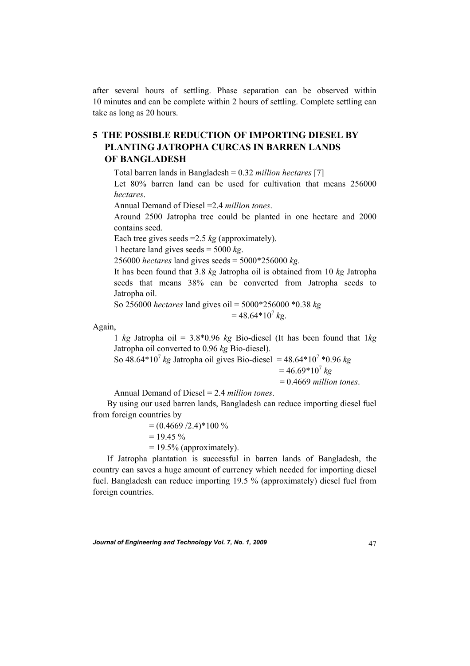after several hours of settling. Phase separation can be observed within 10 minutes and can be complete within 2 hours of settling. Complete settling can take as long as 20 hours.

# **5 THE POSSIBLE REDUCTION OF IMPORTING DIESEL BY PLANTING JATROPHA CURCAS IN BARREN LANDS OF BANGLADESH**

Total barren lands in Bangladesh = 0.32 *million hectares* [7]

Let 80% barren land can be used for cultivation that means 256000 *hectares*.

Annual Demand of Diesel =2.4 *million tones*.

Around 2500 Jatropha tree could be planted in one hectare and 2000 contains seed.

Each tree gives seeds =2.5 *kg* (approximately).

1 hectare land gives seeds = 5000 *kg*.

256000 *hectares* land gives seeds = 5000\*256000 *kg*.

It has been found that 3.8 *kg* Jatropha oil is obtained from 10 *kg* Jatropha seeds that means 38% can be converted from Jatropha seeds to Jatropha oil.

 So 256000 *hectares* land gives oil = 5000\*256000 \*0.38 *kg*  $= 48.64*10^{7}$  kg.

Again,

1 *kg* Jatropha oil = 3.8\*0.96 *kg* Bio-diesel (It has been found that 1*kg* Jatropha oil converted to 0.96 *kg* Bio-diesel).

So  $48.64*10^7$  *kg* Jatropha oil gives Bio-diesel =  $48.64*10^7*0.96$  *kg*  $= 46.69*10^{7} kg$ 

= 0.4669 *million tones*.

Annual Demand of Diesel = 2.4 *million tones*.

 By using our used barren lands, Bangladesh can reduce importing diesel fuel from foreign countries by

> $= (0.4669/2.4)$ <sup>\*</sup>100 %  $= 19.45 \%$  $= 19.5\%$  (approximately).

 If Jatropha plantation is successful in barren lands of Bangladesh, the country can saves a huge amount of currency which needed for importing diesel fuel. Bangladesh can reduce importing 19.5 % (approximately) diesel fuel from foreign countries.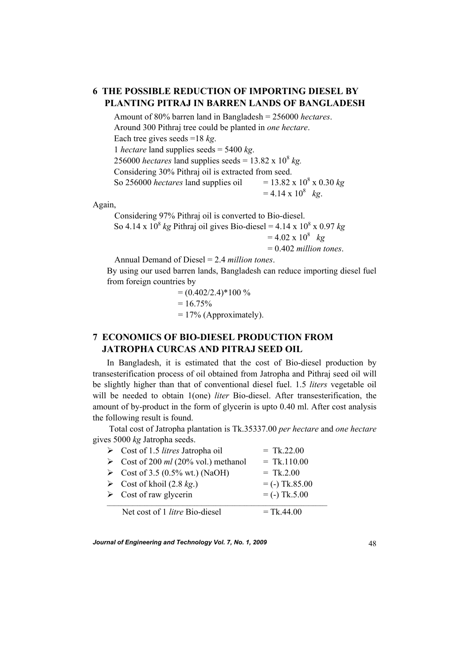# **6 THE POSSIBLE REDUCTION OF IMPORTING DIESEL BY PLANTING PITRAJ IN BARREN LANDS OF BANGLADESH**

 Amount of 80% barren land in Bangladesh = 256000 *hectares*. Around 300 Pithraj tree could be planted in *one hectare*. Each tree gives seeds =18 *kg*. 1 *hectare* land supplies seeds = 5400 *kg*. 256000 *hectares* land supplies seeds =  $13.82 \times 10^8$  *kg.*  Considering 30% Pithraj oil is extracted from seed. So 256000 *hectares* land supplies oil  $= 13.82 \times 10^8 \times 0.30 kg$  $= 4.14 \times 10^8$  kg.

Again,

Considering 97% Pithraj oil is converted to Bio-diesel.

So  $4.14 \times 10^8$  *kg* Pithraj oil gives Bio-diesel =  $4.14 \times 10^8 \times 0.97$  *kg* 

 $= 4.02 \times 10^8$  kg

= 0.402 *million tones*.

Annual Demand of Diesel = 2.4 *million tones*.

By using our used barren lands, Bangladesh can reduce importing diesel fuel from foreign countries by

> $= (0.402/2.4)$ <sup>\*</sup>100 %  $= 16.75\%$  $= 17\%$  (Approximately).

## **7 ECONOMICS OF BIO-DIESEL PRODUCTION FROM JATROPHA CURCAS AND PITRAJ SEED OIL**

In Bangladesh, it is estimated that the cost of Bio-diesel production by transesterification process of oil obtained from Jatropha and Pithraj seed oil will be slightly higher than that of conventional diesel fuel. 1.5 *liters* vegetable oil will be needed to obtain 1(one) *liter* Bio-diesel. After transesterification, the amount of by-product in the form of glycerin is upto 0.40 ml. After cost analysis the following result is found.

 Total cost of Jatropha plantation is Tk.35337.00 *per hectare* and *one hectare* gives 5000 *kg* Jatropha seeds.

| $\triangleright$ Cost of 1.5 <i>litres</i> Jatropha oil | $=$ Tk.22.00     |
|---------------------------------------------------------|------------------|
| Solution Cost of 200 ml (20% vol.) methanol             | $=$ Tk.110.00    |
| $\triangleright$ Cost of 3.5 (0.5% wt.) (NaOH)          | $=$ Tk.2.00      |
| $\triangleright$ Cost of khoil (2.8 kg.)                | $=$ (-) Tk.85.00 |
| $\triangleright$ Cost of raw glycerin                   | $=$ (-) Tk.5.00  |
| Net cost of 1 <i>litre</i> Bio-diesel                   | $=$ Tk.44.00     |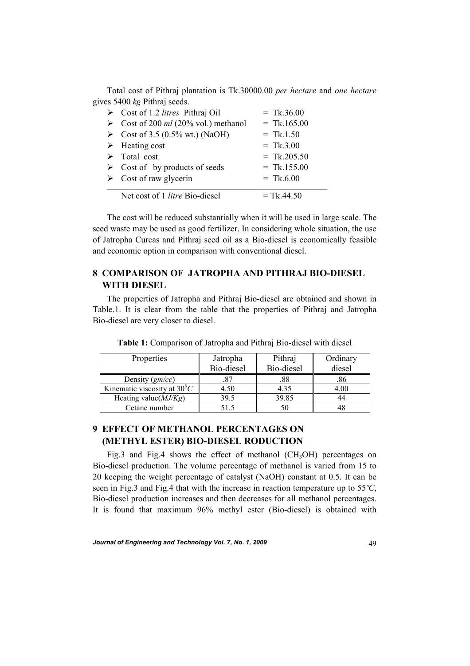Total cost of Pithraj plantation is Tk.30000.00 *per hectare* and *one hectare* gives 5400 *kg* Pithraj seeds.

| $\triangleright$ Cost of 1.2 <i>litres</i> Pithraj Oil | $=$ Tk.36.00  |
|--------------------------------------------------------|---------------|
| Solution Cost of 200 ml (20% vol.) methanol            | $=$ Tk.165.00 |
| S Cost of 3.5 (0.5% wt.) (NaOH)                        | $=$ Tk.1.50   |
| $\triangleright$ Heating cost                          | $=$ Tk.3.00   |
| $\triangleright$ Total cost                            | $=$ Tk.205.50 |
| $\triangleright$ Cost of by products of seeds          | $=$ Tk.155.00 |
| $\triangleright$ Cost of raw glycerin                  | $=$ Tk.6.00   |
| Net cost of 1 <i>litre</i> Bio-diesel                  | $=$ Tk.44.50  |
|                                                        |               |

 The cost will be reduced substantially when it will be used in large scale. The seed waste may be used as good fertilizer. In considering whole situation, the use of Jatropha Curcas and Pithraj seed oil as a Bio-diesel is economically feasible and economic option in comparison with conventional diesel.

## **8 COMPARISON OF JATROPHA AND PITHRAJ BIO-DIESEL WITH DIESEL**

The properties of Jatropha and Pithraj Bio-diesel are obtained and shown in Table.1. It is clear from the table that the properties of Pithraj and Jatropha Bio-diesel are very closer to diesel.

| Properties                           | Jatropha<br>Bio-diesel | Pithraj<br>Bio-diesel | Ordinary<br>diesel |
|--------------------------------------|------------------------|-----------------------|--------------------|
| Density $(gm/cc)$                    | .87                    | .88                   | .86                |
| Kinematic viscosity at $30^{\circ}C$ | 4.50                   | 4.35                  | 4.00               |
| Heating value( $MJ/Kg$ )             | 39.5                   | 39.85                 | 44                 |
| Cetane number                        | 51.5                   |                       |                    |

**Table 1:** Comparison of Jatropha and Pithraj Bio-diesel with diesel

## **9 EFFECT OF METHANOL PERCENTAGES ON (METHYL ESTER) BIO-DIESEL RODUCTION**

Fig.3 and Fig.4 shows the effect of methanol  $(CH<sub>3</sub>OH)$  percentages on Bio-diesel production. The volume percentage of methanol is varied from 15 to 20 keeping the weight percentage of catalyst (NaOH) constant at 0.5. It can be seen in Fig.3 and Fig.4 that with the increase in reaction temperature up to 55*ºC*, Bio-diesel production increases and then decreases for all methanol percentages. It is found that maximum 96% methyl ester (Bio-diesel) is obtained with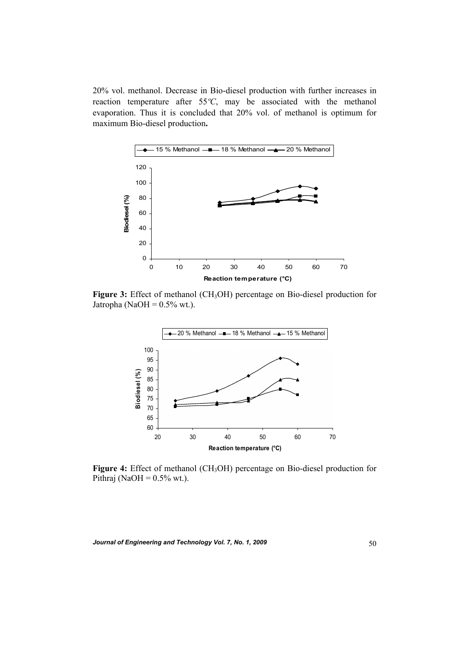20% vol. methanol. Decrease in Bio-diesel production with further increases in reaction temperature after 55*ºC*, may be associated with the methanol evaporation. Thus it is concluded that 20% vol. of methanol is optimum for maximum Bio-diesel production**.** 



**Figure 3:** Effect of methanol (CH<sub>3</sub>OH) percentage on Bio-diesel production for Jatropha (NaOH =  $0.5\%$  wt.).



Figure 4: Effect of methanol (CH<sub>3</sub>OH) percentage on Bio-diesel production for Pithraj (NaOH =  $0.5\%$  wt.).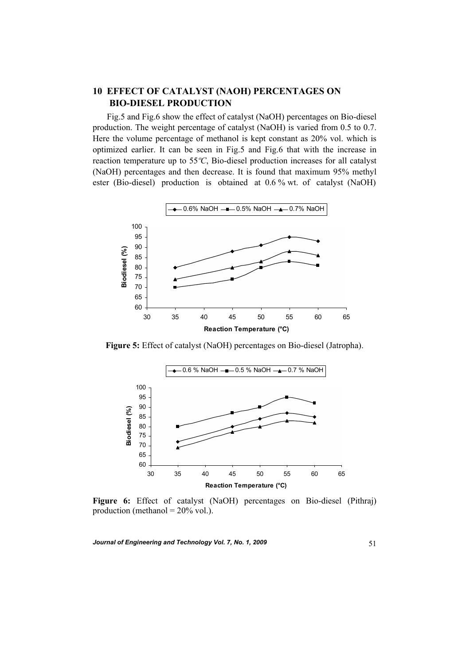## **10 EFFECT OF CATALYST (NAOH) PERCENTAGES ON BIO-DIESEL PRODUCTION**

 Fig.5 and Fig.6 show the effect of catalyst (NaOH) percentages on Bio-diesel production. The weight percentage of catalyst (NaOH) is varied from 0.5 to 0.7. Here the volume percentage of methanol is kept constant as 20% vol. which is optimized earlier. It can be seen in Fig.5 and Fig.6 that with the increase in reaction temperature up to 55*ºC*, Bio-diesel production increases for all catalyst (NaOH) percentages and then decrease. It is found that maximum 95% methyl ester (Bio-diesel) production is obtained at 0.6 % wt. of catalyst (NaOH)



**Figure 5:** Effect of catalyst (NaOH) percentages on Bio-diesel (Jatropha).



**Figure 6:** Effect of catalyst (NaOH) percentages on Bio-diesel (Pithraj) production (methanol =  $20\%$  vol.).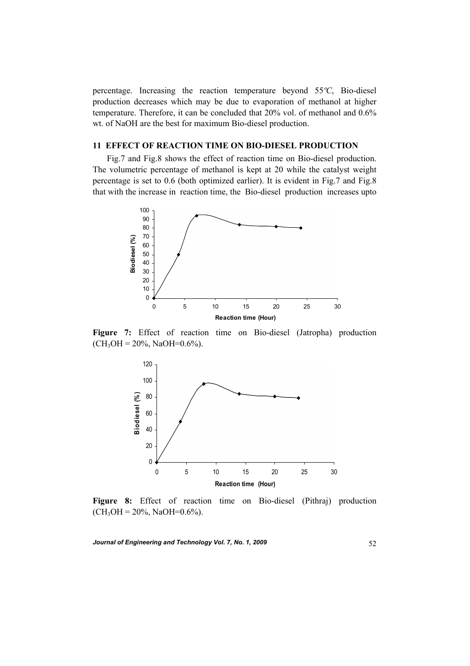percentage. Increasing the reaction temperature beyond 55*ºC*, Bio-diesel production decreases which may be due to evaporation of methanol at higher temperature. Therefore, it can be concluded that 20% vol. of methanol and 0.6% wt. of NaOH are the best for maximum Bio-diesel production.

### **11 EFFECT OF REACTION TIME ON BIO-DIESEL PRODUCTION**

 Fig.7 and Fig.8 shows the effect of reaction time on Bio-diesel production. The volumetric percentage of methanol is kept at 20 while the catalyst weight percentage is set to 0.6 (both optimized earlier). It is evident in Fig.7 and Fig.8 that with the increase in reaction time, the Bio-diesel production increases upto



**Figure 7:** Effect of reaction time on Bio-diesel (Jatropha) production  $(CH<sub>3</sub>OH = 20\%, NaOH = 0.6\%).$ 



**Figure 8:** Effect of reaction time on Bio-diesel (Pithraj) production  $(CH<sub>3</sub>OH = 20\%, NaOH = 0.6\%).$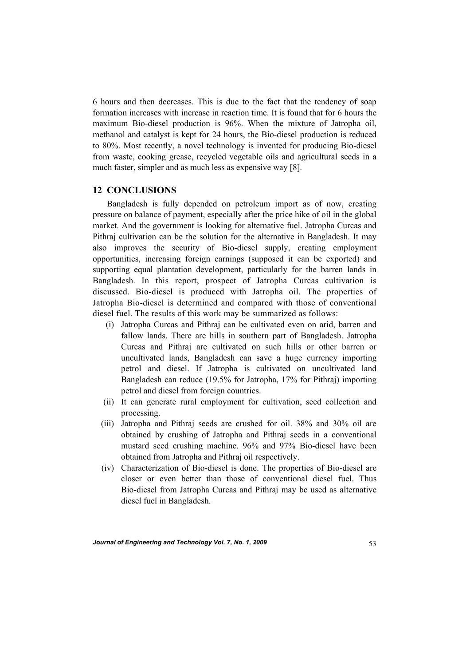6 hours and then decreases. This is due to the fact that the tendency of soap formation increases with increase in reaction time. It is found that for 6 hours the maximum Bio-diesel production is 96%. When the mixture of Jatropha oil, methanol and catalyst is kept for 24 hours, the Bio-diesel production is reduced to 80%. Most recently, a novel technology is invented for producing Bio-diesel from waste, cooking grease, recycled vegetable oils and agricultural seeds in a much faster, simpler and as much less as expensive way [8].

#### **12 CONCLUSIONS**

 Bangladesh is fully depended on petroleum import as of now, creating pressure on balance of payment, especially after the price hike of oil in the global market. And the government is looking for alternative fuel. Jatropha Curcas and Pithraj cultivation can be the solution for the alternative in Bangladesh. It may also improves the security of Bio-diesel supply, creating employment opportunities, increasing foreign earnings (supposed it can be exported) and supporting equal plantation development, particularly for the barren lands in Bangladesh. In this report, prospect of Jatropha Curcas cultivation is discussed. Bio-diesel is produced with Jatropha oil. The properties of Jatropha Bio-diesel is determined and compared with those of conventional diesel fuel. The results of this work may be summarized as follows:

- (i) Jatropha Curcas and Pithraj can be cultivated even on arid, barren and fallow lands. There are hills in southern part of Bangladesh. Jatropha Curcas and Pithraj are cultivated on such hills or other barren or uncultivated lands, Bangladesh can save a huge currency importing petrol and diesel. If Jatropha is cultivated on uncultivated land Bangladesh can reduce (19.5% for Jatropha, 17% for Pithraj) importing petrol and diesel from foreign countries.
- (ii) It can generate rural employment for cultivation, seed collection and processing.
- (iii) Jatropha and Pithraj seeds are crushed for oil. 38% and 30% oil are obtained by crushing of Jatropha and Pithraj seeds in a conventional mustard seed crushing machine. 96% and 97% Bio-diesel have been obtained from Jatropha and Pithraj oil respectively.
- (iv) Characterization of Bio-diesel is done. The properties of Bio-diesel are closer or even better than those of conventional diesel fuel. Thus Bio-diesel from Jatropha Curcas and Pithraj may be used as alternative diesel fuel in Bangladesh.